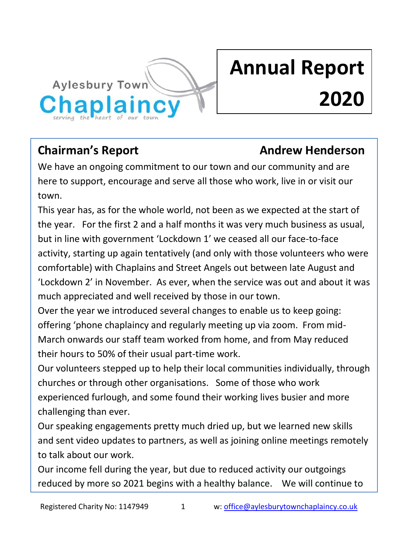

# **Annual Report 2020**

### **Chairman's Report Chairman's Report Andrew Henderson**

We have an ongoing commitment to our town and our community and are here to support, encourage and serve all those who work, live in or visit our town.

This year has, as for the whole world, not been as we expected at the start of the year. For the first 2 and a half months it was very much business as usual, but in line with government 'Lockdown 1' we ceased all our face-to-face activity, starting up again tentatively (and only with those volunteers who were comfortable) with Chaplains and Street Angels out between late August and 'Lockdown 2' in November. As ever, when the service was out and about it was much appreciated and well received by those in our town.

Over the year we introduced several changes to enable us to keep going: offering 'phone chaplaincy and regularly meeting up via zoom. From mid-March onwards our staff team worked from home, and from May reduced their hours to 50% of their usual part-time work.

Our volunteers stepped up to help their local communities individually, through churches or through other organisations. Some of those who work experienced furlough, and some found their working lives busier and more challenging than ever.

Our speaking engagements pretty much dried up, but we learned new skills and sent video updates to partners, as well as joining online meetings remotely to talk about our work.

Our income fell during the year, but due to reduced activity our outgoings reduced by more so 2021 begins with a healthy balance. We will continue to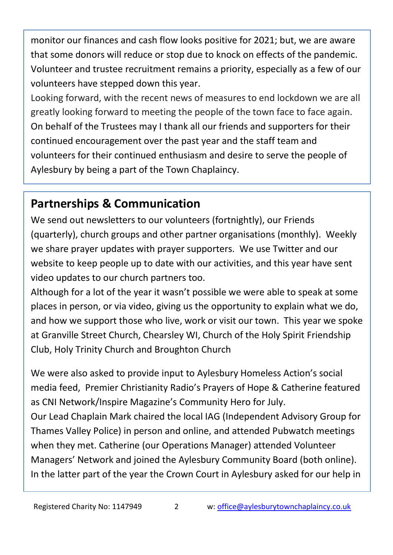monitor our finances and cash flow looks positive for 2021; but, we are aware that some donors will reduce or stop due to knock on effects of the pandemic. Volunteer and trustee recruitment remains a priority, especially as a few of our volunteers have stepped down this year.

Looking forward, with the recent news of measures to end lockdown we are all greatly looking forward to meeting the people of the town face to face again. On behalf of the Trustees may I thank all our friends and supporters for their continued encouragement over the past year and the staff team and volunteers for their continued enthusiasm and desire to serve the people of Aylesbury by being a part of the Town Chaplaincy.

### **Partnerships & Communication**

We send out newsletters to our volunteers (fortnightly), our Friends (quarterly), church groups and other partner organisations (monthly). Weekly we share prayer updates with prayer supporters. We use Twitter and our website to keep people up to date with our activities, and this year have sent video updates to our church partners too.

Although for a lot of the year it wasn't possible we were able to speak at some places in person, or via video, giving us the opportunity to explain what we do, and how we support those who live, work or visit our town. This year we spoke at Granville Street Church, Chearsley WI, Church of the Holy Spirit Friendship Club, Holy Trinity Church and Broughton Church

We were also asked to provide input to Aylesbury Homeless Action's social media feed, Premier Christianity Radio's Prayers of Hope & Catherine featured as CNI Network/Inspire Magazine's Community Hero for July. Our Lead Chaplain Mark chaired the local IAG (Independent Advisory Group for Thames Valley Police) in person and online, and attended Pubwatch meetings when they met. Catherine (our Operations Manager) attended Volunteer Managers' Network and joined the Aylesbury Community Board (both online). In the latter part of the year the Crown Court in Aylesbury asked for our help in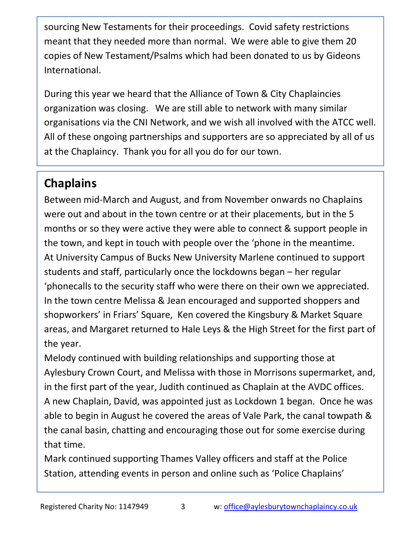sourcing New Testaments for their proceedings. Covid safety restrictions meant that they needed more than normal. We were able to give them 20 copies of New Testament/Psalms which had been donated to us by Gideons International.

During this year we heard that the Alliance of Town & City Chaplaincies organization was closing. We are still able to network with many similar organisations via the CNI Network, and we wish all involved with the ATCC well. All of these ongoing partnerships and supporters are so appreciated by all of us at the Chaplaincy. Thank you for all you do for our town.

## **Chaplains**

Between mid-March and August, and from November onwards no Chaplains were out and about in the town centre or at their placements, but in the 5 months or so they were active they were able to connect & support people in the town, and kept in touch with people over the 'phone in the meantime. At University Campus of Bucks New University Marlene continued to support students and staff, particularly once the lockdowns began – her regular 'phonecalls to the security staff who were there on their own we appreciated. In the town centre Melissa & Jean encouraged and supported shoppers and shopworkers' in Friars' Square, Ken covered the Kingsbury & Market Square areas, and Margaret returned to Hale Leys & the High Street for the first part of the year.

Melody continued with building relationships and supporting those at Aylesbury Crown Court, and Melissa with those in Morrisons supermarket, and, in the first part of the year, Judith continued as Chaplain at the AVDC offices. A new Chaplain, David, was appointed just as Lockdown 1 began. Once he was able to begin in August he covered the areas of Vale Park, the canal towpath & the canal basin, chatting and encouraging those out for some exercise during that time.

Mark continued supporting Thames Valley officers and staff at the Police Station, attending events in person and online such as 'Police Chaplains'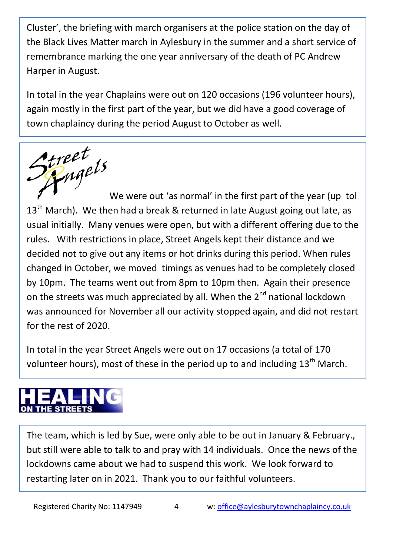Cluster', the briefing with march organisers at the police station on the day of the Black Lives Matter march in Aylesbury in the summer and a short service of remembrance marking the one year anniversary of the death of PC Andrew Harper in August.

In total in the year Chaplains were out on 120 occasions (196 volunteer hours), again mostly in the first part of the year, but we did have a good coverage of town chaplaincy during the period August to October as well.



 $13<sup>th</sup>$  March). We then had a break & returned in late August going out late, as usual initially. Many venues were open, but with a different offering due to the rules. With restrictions in place, Street Angels kept their distance and we decided not to give out any items or hot drinks during this period. When rules changed in October, we moved timings as venues had to be completely closed by 10pm. The teams went out from 8pm to 10pm then. Again their presence on the streets was much appreciated by all. When the  $2^{nd}$  national lockdown was announced for November all our activity stopped again, and did not restart for the rest of 2020.

In total in the year Street Angels were out on 17 occasions (a total of 170 volunteer hours), most of these in the period up to and including  $13<sup>th</sup>$  March.

The team, which is led by Sue, were only able to be out in January & February., but still were able to talk to and pray with 14 individuals. Once the news of the lockdowns came about we had to suspend this work. We look forward to restarting later on in 2021. Thank you to our faithful volunteers.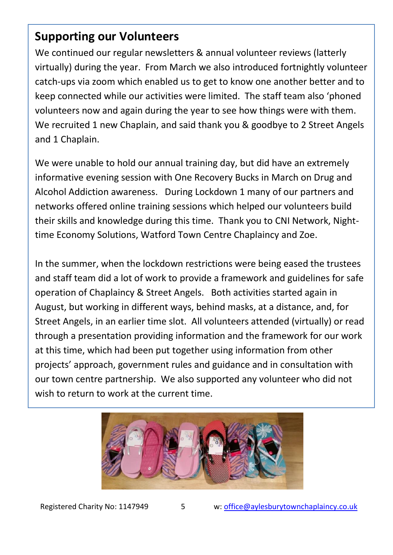### **Supporting our Volunteers**

We continued our regular newsletters & annual volunteer reviews (latterly virtually) during the year. From March we also introduced fortnightly volunteer catch-ups via zoom which enabled us to get to know one another better and to keep connected while our activities were limited. The staff team also 'phoned volunteers now and again during the year to see how things were with them. We recruited 1 new Chaplain, and said thank you & goodbye to 2 Street Angels and 1 Chaplain.

We were unable to hold our annual training day, but did have an extremely informative evening session with One Recovery Bucks in March on Drug and Alcohol Addiction awareness. During Lockdown 1 many of our partners and networks offered online training sessions which helped our volunteers build their skills and knowledge during this time. Thank you to CNI Network, Nighttime Economy Solutions, Watford Town Centre Chaplaincy and Zoe.

In the summer, when the lockdown restrictions were being eased the trustees and staff team did a lot of work to provide a framework and guidelines for safe operation of Chaplaincy & Street Angels. Both activities started again in August, but working in different ways, behind masks, at a distance, and, for Street Angels, in an earlier time slot. All volunteers attended (virtually) or read through a presentation providing information and the framework for our work at this time, which had been put together using information from other projects' approach, government rules and guidance and in consultation with our town centre partnership. We also supported any volunteer who did not wish to return to work at the current time.



Registered Charity No: 1147949 5 w: [office@aylesburytownchaplaincy.co.uk](mailto:office@aylesburytownchaplaincy.co.uk)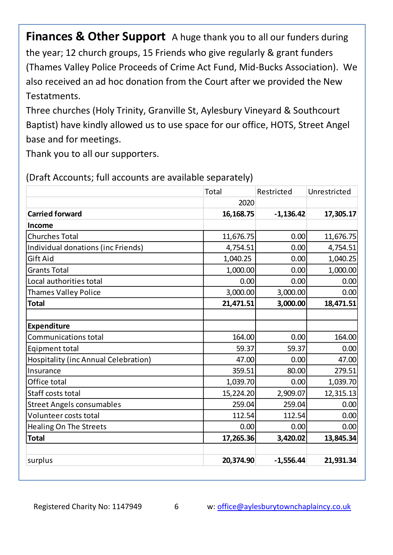**Finances & Other Support** A huge thank you to all our funders during the year; 12 church groups, 15 Friends who give regularly & grant funders (Thames Valley Police Proceeds of Crime Act Fund, Mid-Bucks Association). We also received an ad hoc donation from the Court after we provided the New Testatments.

Three churches (Holy Trinity, Granville St, Aylesbury Vineyard & Southcourt Baptist) have kindly allowed us to use space for our office, HOTS, Street Angel base and for meetings.

Thank you to all our supporters.

|                                      | Total     | Restricted  | Unrestricted |
|--------------------------------------|-----------|-------------|--------------|
|                                      | 2020      |             |              |
| <b>Carried forward</b>               | 16,168.75 | $-1,136.42$ | 17,305.17    |
| Income                               |           |             |              |
| <b>Churches Total</b>                | 11,676.75 | 0.00        | 11,676.75    |
| Individual donations (inc Friends)   | 4,754.51  | 0.00        | 4,754.51     |
| Gift Aid                             | 1,040.25  | 0.00        | 1,040.25     |
| <b>Grants Total</b>                  | 1,000.00  | 0.00        | 1,000.00     |
| Local authorities total              | 0.00      | 0.00        | 0.00         |
| Thames Valley Police                 | 3,000.00  | 3,000.00    | 0.00         |
| <b>Total</b>                         | 21,471.51 | 3,000.00    | 18,471.51    |
|                                      |           |             |              |
| <b>Expenditure</b>                   |           |             |              |
| Communications total                 | 164.00    | 0.00        | 164.00       |
| Eqipment total                       | 59.37     | 59.37       | 0.00         |
| Hospitality (inc Annual Celebration) | 47.00     | 0.00        | 47.00        |
| Insurance                            | 359.51    | 80.00       | 279.51       |
| Office total                         | 1,039.70  | 0.00        | 1,039.70     |
| Staff costs total                    | 15,224.20 | 2,909.07    | 12,315.13    |
| <b>Street Angels consumables</b>     | 259.04    | 259.04      | 0.00         |
| Volunteer costs total                | 112.54    | 112.54      | 0.00         |
| <b>Healing On The Streets</b>        | 0.00      | 0.00        | 0.00         |
| <b>Total</b>                         | 17,265.36 | 3,420.02    | 13,845.34    |
|                                      |           |             |              |
| surplus                              | 20,374.90 | $-1,556.44$ | 21,931.34    |

(Draft Accounts; full accounts are available separately)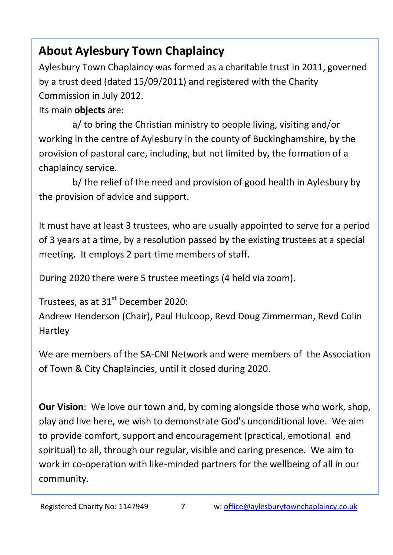# **About Aylesbury Town Chaplaincy**

Aylesbury Town Chaplaincy was formed as a charitable trust in 2011, governed by a trust deed (dated 15/09/2011) and registered with the Charity Commission in July 2012.

Its main **objects** are:

a/ to bring the Christian ministry to people living, visiting and/or working in the centre of Aylesbury in the county of Buckinghamshire, by the provision of pastoral care, including, but not limited by, the formation of a chaplaincy service.

b/ the relief of the need and provision of good health in Aylesbury by the provision of advice and support.

It must have at least 3 trustees, who are usually appointed to serve for a period of 3 years at a time, by a resolution passed by the existing trustees at a special meeting. It employs 2 part-time members of staff.

During 2020 there were 5 trustee meetings (4 held via zoom).

Trustees, as at  $31<sup>st</sup>$  December 2020:

Andrew Henderson (Chair), Paul Hulcoop, Revd Doug Zimmerman, Revd Colin Hartley

We are members of the SA-CNI Network and were members of the Association of Town & City Chaplaincies, until it closed during 2020.

**Our Vision**: We love our town and, by coming alongside those who work, shop, play and live here, we wish to demonstrate God's unconditional love. We aim to provide comfort, support and encouragement (practical, emotional and spiritual) to all, through our regular, visible and caring presence. We aim to work in co-operation with like-minded partners for the wellbeing of all in our community.